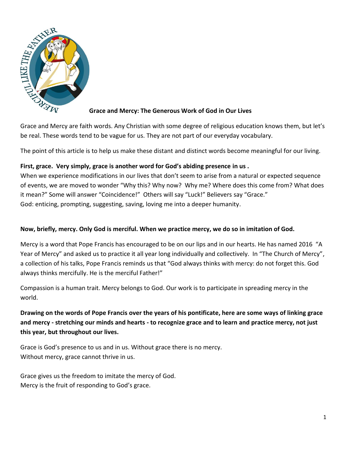

### **Grace and Mercy: The Generous Work of God in Our Lives**

Grace and Mercy are faith words. Any Christian with some degree of religious education knows them, but let's be real. These words tend to be vague for us. They are not part of our everyday vocabulary.

The point of this article is to help us make these distant and distinct words become meaningful for our living.

# **First, grace. Very simply, grace is another word for God's abiding presence in us .**

When we experience modifications in our lives that don't seem to arise from a natural or expected sequence of events, we are moved to wonder "Why this? Why now? Why me? Where does this come from? What does it mean?" Some will answer "Coincidence!" Others will say "Luck!" Believers say "Grace." God: enticing, prompting, suggesting, saving, loving me into a deeper humanity.

# **Now, briefly, mercy. Only God is merciful. When we practice mercy, we do so in imitation of God.**

Mercy is a word that Pope Francis has encouraged to be on our lips and in our hearts. He has named 2016 "A Year of Mercy" and asked us to practice it all year long individually and collectively. In "The Church of Mercy", a collection of his talks, Pope Francis reminds us that "God always thinks with mercy: do not forget this. God always thinks mercifully. He is the merciful Father!"

Compassion is a human trait. Mercy belongs to God. Our work is to participate in spreading mercy in the world.

**Drawing on the words of Pope Francis over the years of his pontificate, here are some ways of linking grace and mercy - stretching our minds and hearts - to recognize grace and to learn and practice mercy, not just this year, but throughout our lives.**

Grace is God's presence to us and in us. Without grace there is no mercy. Without mercy, grace cannot thrive in us.

Grace gives us the freedom to imitate the mercy of God. Mercy is the fruit of responding to God's grace.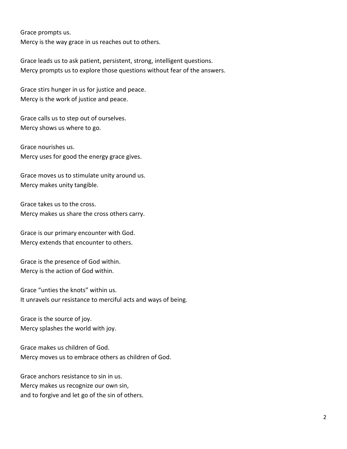Grace prompts us.

Mercy is the way grace in us reaches out to others.

Grace leads us to ask patient, persistent, strong, intelligent questions. Mercy prompts us to explore those questions without fear of the answers.

Grace stirs hunger in us for justice and peace. Mercy is the work of justice and peace.

Grace calls us to step out of ourselves. Mercy shows us where to go.

Grace nourishes us. Mercy uses for good the energy grace gives.

Grace moves us to stimulate unity around us. Mercy makes unity tangible.

Grace takes us to the cross. Mercy makes us share the cross others carry.

Grace is our primary encounter with God. Mercy extends that encounter to others.

Grace is the presence of God within. Mercy is the action of God within.

Grace "unties the knots" within us. It unravels our resistance to merciful acts and ways of being.

Grace is the source of joy. Mercy splashes the world with joy.

Grace makes us children of God. Mercy moves us to embrace others as children of God.

Grace anchors resistance to sin in us. Mercy makes us recognize our own sin, and to forgive and let go of the sin of others.